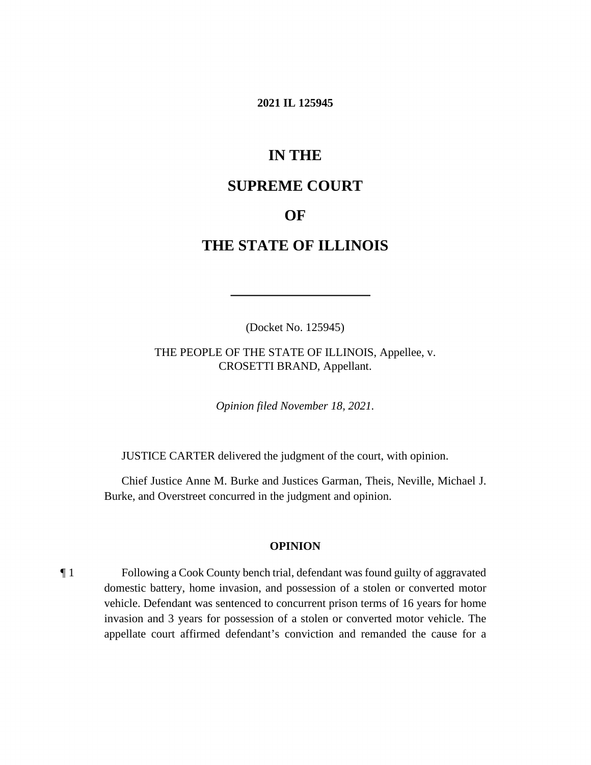#### **2021 IL 125945**

# **IN THE**

# **SUPREME COURT**

## **OF**

# **THE STATE OF ILLINOIS**

(Docket No. 125945)

 THE PEOPLE OF THE STATE OF ILLINOIS, Appellee, v. CROSETTI BRAND, Appellant.

*Opinion filed November 18, 2021.* 

JUSTICE CARTER delivered the judgment of the court, with opinion.

 Chief Justice Anne M. Burke and Justices Garman, Theis, Neville, Michael J. Burke, and Overstreet concurred in the judgment and opinion.

#### **OPINION**

¶ 1 Following a Cook County bench trial, defendant was found guilty of aggravated domestic battery, home invasion, and possession of a stolen or converted motor vehicle. Defendant was sentenced to concurrent prison terms of 16 years for home invasion and 3 years for possession of a stolen or converted motor vehicle. The appellate court affirmed defendant's conviction and remanded the cause for a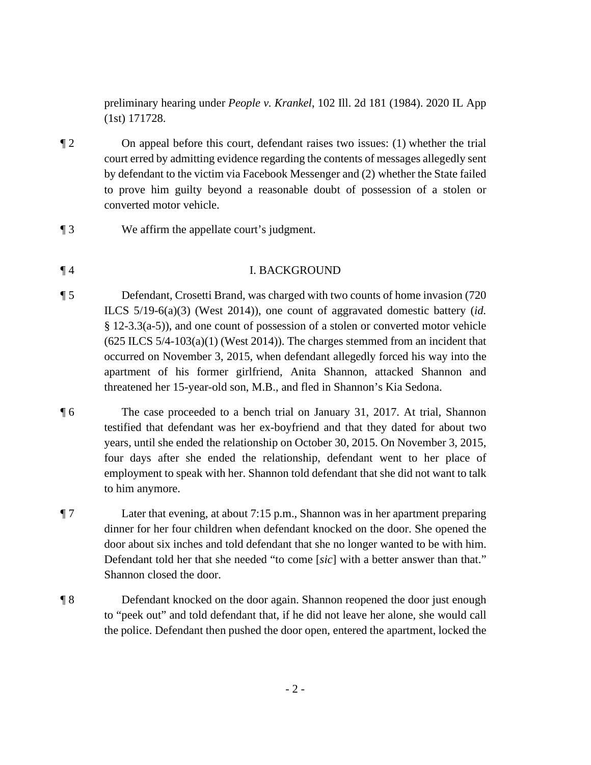preliminary hearing under *People v. Krankel*, 102 Ill. 2d 181 (1984). 2020 IL App (1st) 171728.

- ¶ 2 On appeal before this court, defendant raises two issues: (1) whether the trial court erred by admitting evidence regarding the contents of messages allegedly sent by defendant to the victim via Facebook Messenger and (2) whether the State failed to prove him guilty beyond a reasonable doubt of possession of a stolen or converted motor vehicle.
- ¶ 3 We affirm the appellate court's judgment.

## ¶ 4 I. BACKGROUND

- ¶ 5 Defendant, Crosetti Brand, was charged with two counts of home invasion (720 ILCS 5/19-6(a)(3) (West 2014)), one count of aggravated domestic battery (*id.*  § 12-3.3(a-5)), and one count of possession of a stolen or converted motor vehicle  $(625$  ILCS  $5/4$ -103 $(a)(1)$  (West 2014)). The charges stemmed from an incident that occurred on November 3, 2015, when defendant allegedly forced his way into the apartment of his former girlfriend, Anita Shannon, attacked Shannon and threatened her 15-year-old son, M.B., and fled in Shannon's Kia Sedona.
- ¶ 6 The case proceeded to a bench trial on January 31, 2017. At trial, Shannon testified that defendant was her ex-boyfriend and that they dated for about two years, until she ended the relationship on October 30, 2015. On November 3, 2015, four days after she ended the relationship, defendant went to her place of employment to speak with her. Shannon told defendant that she did not want to talk to him anymore.

¶ 7 Later that evening, at about 7:15 p.m., Shannon was in her apartment preparing dinner for her four children when defendant knocked on the door. She opened the door about six inches and told defendant that she no longer wanted to be with him. Defendant told her that she needed "to come [*sic*] with a better answer than that." Shannon closed the door.

¶ 8 Defendant knocked on the door again. Shannon reopened the door just enough to "peek out" and told defendant that, if he did not leave her alone, she would call the police. Defendant then pushed the door open, entered the apartment, locked the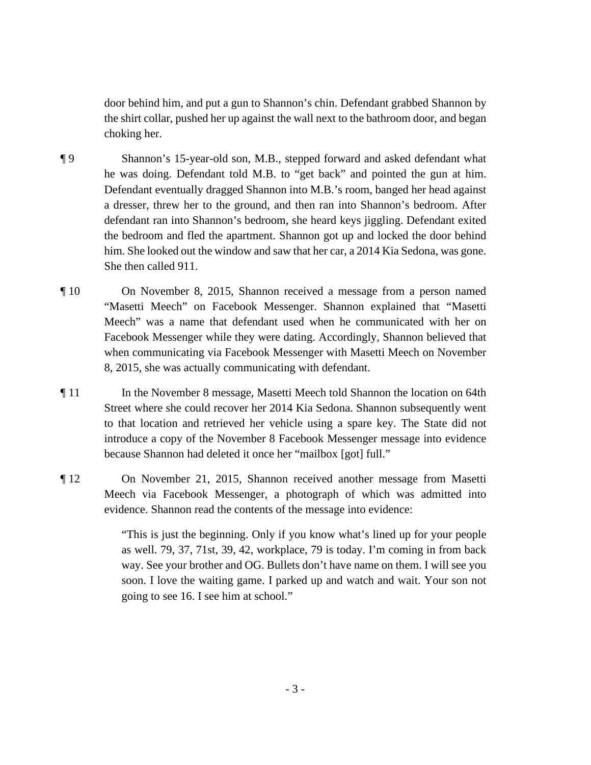door behind him, and put a gun to Shannon's chin. Defendant grabbed Shannon by the shirt collar, pushed her up against the wall next to the bathroom door, and began choking her.

- ¶ 9 Shannon's 15-year-old son, M.B., stepped forward and asked defendant what he was doing. Defendant told M.B. to "get back" and pointed the gun at him. Defendant eventually dragged Shannon into M.B.'s room, banged her head against a dresser, threw her to the ground, and then ran into Shannon's bedroom. After defendant ran into Shannon's bedroom, she heard keys jiggling. Defendant exited the bedroom and fled the apartment. Shannon got up and locked the door behind him. She looked out the window and saw that her car, a 2014 Kia Sedona, was gone. She then called 911.
- "Masetti Meech" on Facebook Messenger. Shannon explained that "Masetti ¶ 10 On November 8, 2015, Shannon received a message from a person named Meech" was a name that defendant used when he communicated with her on Facebook Messenger while they were dating. Accordingly, Shannon believed that when communicating via Facebook Messenger with Masetti Meech on November 8, 2015, she was actually communicating with defendant.
- ¶ 11 In the November 8 message, Masetti Meech told Shannon the location on 64th Street where she could recover her 2014 Kia Sedona. Shannon subsequently went to that location and retrieved her vehicle using a spare key. The State did not introduce a copy of the November 8 Facebook Messenger message into evidence because Shannon had deleted it once her "mailbox [got] full."
- ¶ 12 On November 21, 2015, Shannon received another message from Masetti Meech via Facebook Messenger, a photograph of which was admitted into evidence. Shannon read the contents of the message into evidence:

 going to see 16. I see him at school." "This is just the beginning. Only if you know what's lined up for your people as well. 79, 37, 71st, 39, 42, workplace, 79 is today. I'm coming in from back way. See your brother and OG. Bullets don't have name on them. I will see you soon. I love the waiting game. I parked up and watch and wait. Your son not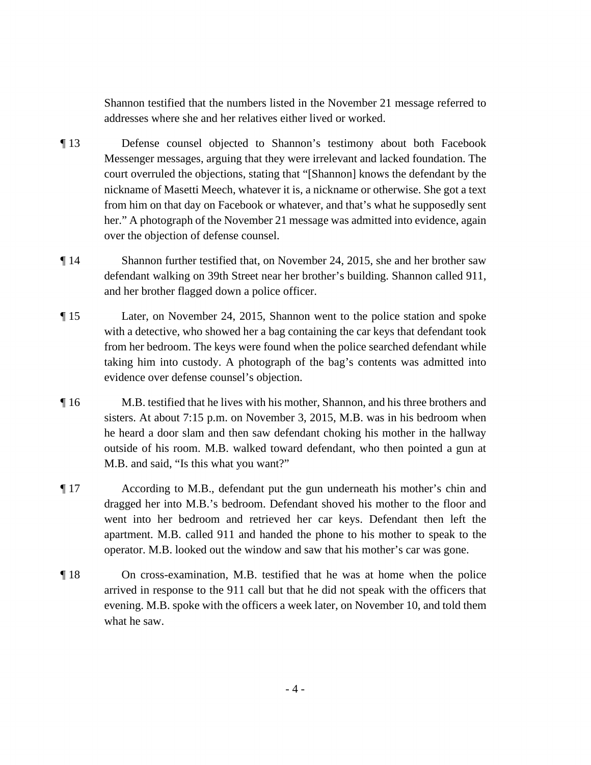Shannon testified that the numbers listed in the November 21 message referred to addresses where she and her relatives either lived or worked.

- ¶ 13 Defense counsel objected to Shannon's testimony about both Facebook Messenger messages, arguing that they were irrelevant and lacked foundation. The court overruled the objections, stating that "[Shannon] knows the defendant by the nickname of Masetti Meech, whatever it is, a nickname or otherwise. She got a text from him on that day on Facebook or whatever, and that's what he supposedly sent her." A photograph of the November 21 message was admitted into evidence, again over the objection of defense counsel.
- ¶ 14 Shannon further testified that, on November 24, 2015, she and her brother saw defendant walking on 39th Street near her brother's building. Shannon called 911, and her brother flagged down a police officer.
- ¶ 15 Later, on November 24, 2015, Shannon went to the police station and spoke with a detective, who showed her a bag containing the car keys that defendant took from her bedroom. The keys were found when the police searched defendant while taking him into custody. A photograph of the bag's contents was admitted into evidence over defense counsel's objection.
- ¶ 16 M.B. testified that he lives with his mother, Shannon, and his three brothers and sisters. At about 7:15 p.m. on November 3, 2015, M.B. was in his bedroom when he heard a door slam and then saw defendant choking his mother in the hallway outside of his room. M.B. walked toward defendant, who then pointed a gun at M.B. and said, "Is this what you want?"
- went into her bedroom and retrieved her car keys. Defendant then left the ¶ 17 According to M.B., defendant put the gun underneath his mother's chin and dragged her into M.B.'s bedroom. Defendant shoved his mother to the floor and apartment. M.B. called 911 and handed the phone to his mother to speak to the operator. M.B. looked out the window and saw that his mother's car was gone.
- ¶ 18 On cross-examination, M.B. testified that he was at home when the police arrived in response to the 911 call but that he did not speak with the officers that evening. M.B. spoke with the officers a week later, on November 10, and told them what he saw.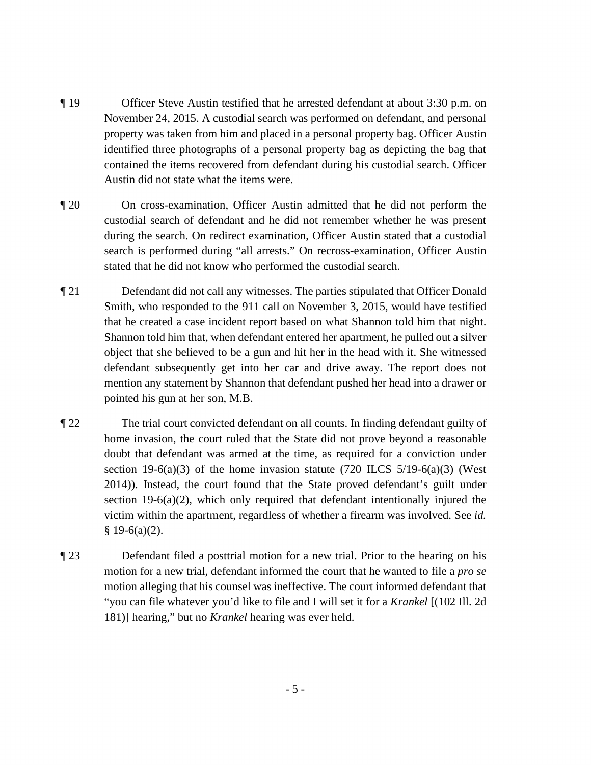- property was taken from him and placed in a personal property bag. Officer Austin ¶ 19 Officer Steve Austin testified that he arrested defendant at about 3:30 p.m. on November 24, 2015. A custodial search was performed on defendant, and personal identified three photographs of a personal property bag as depicting the bag that contained the items recovered from defendant during his custodial search. Officer Austin did not state what the items were.
- during the search. On redirect examination, Officer Austin stated that a custodial ¶ 20 On cross-examination, Officer Austin admitted that he did not perform the custodial search of defendant and he did not remember whether he was present search is performed during "all arrests." On recross-examination, Officer Austin stated that he did not know who performed the custodial search.
- Shannon told him that, when defendant entered her apartment, he pulled out a silver ¶ 21 Defendant did not call any witnesses. The parties stipulated that Officer Donald Smith, who responded to the 911 call on November 3, 2015, would have testified that he created a case incident report based on what Shannon told him that night. object that she believed to be a gun and hit her in the head with it. She witnessed defendant subsequently get into her car and drive away. The report does not mention any statement by Shannon that defendant pushed her head into a drawer or pointed his gun at her son, M.B.
- doubt that defendant was armed at the time, as required for a conviction under  victim within the apartment, regardless of whether a firearm was involved. See *id.*  ¶ 22 The trial court convicted defendant on all counts. In finding defendant guilty of home invasion, the court ruled that the State did not prove beyond a reasonable section 19-6(a)(3) of the home invasion statute (720 ILCS  $5/19-6(a)(3)$  (West 2014)). Instead, the court found that the State proved defendant's guilt under section 19-6(a)(2), which only required that defendant intentionally injured the  $§$  19-6(a)(2).
- ¶ 23 Defendant filed a posttrial motion for a new trial. Prior to the hearing on his motion for a new trial, defendant informed the court that he wanted to file a *pro se*  motion alleging that his counsel was ineffective. The court informed defendant that "you can file whatever you'd like to file and I will set it for a *Krankel* [(102 Ill. 2d 181)] hearing," but no *Krankel* hearing was ever held.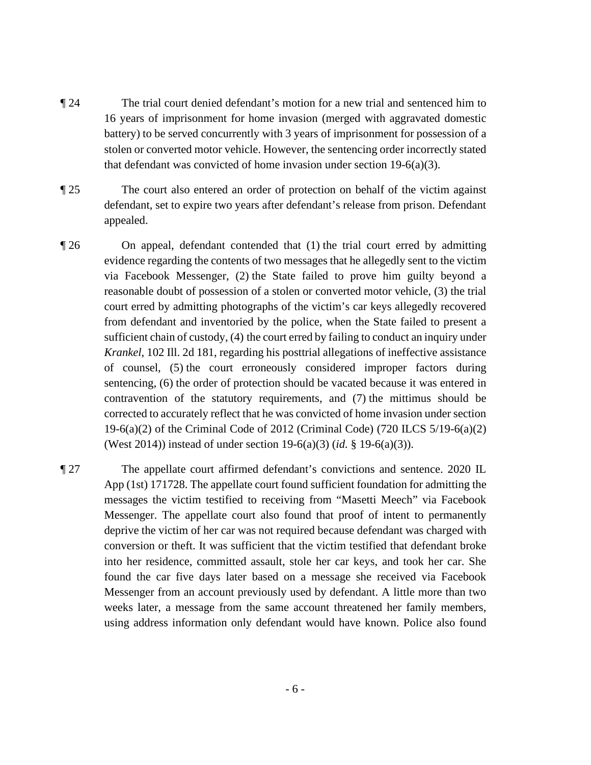- ¶ 24 The trial court denied defendant's motion for a new trial and sentenced him to 16 years of imprisonment for home invasion (merged with aggravated domestic battery) to be served concurrently with 3 years of imprisonment for possession of a stolen or converted motor vehicle. However, the sentencing order incorrectly stated that defendant was convicted of home invasion under section 19-6(a)(3).
- ¶ 25 The court also entered an order of protection on behalf of the victim against defendant, set to expire two years after defendant's release from prison. Defendant appealed.
- evidence regarding the contents of two messages that he allegedly sent to the victim from defendant and inventoried by the police, when the State failed to present a *Krankel*, 102 Ill. 2d 181, regarding his posttrial allegations of ineffective assistance corrected to accurately reflect that he was convicted of home invasion under section ¶ 26 On appeal, defendant contended that (1) the trial court erred by admitting via Facebook Messenger, (2) the State failed to prove him guilty beyond a reasonable doubt of possession of a stolen or converted motor vehicle, (3) the trial court erred by admitting photographs of the victim's car keys allegedly recovered sufficient chain of custody, (4) the court erred by failing to conduct an inquiry under of counsel, (5) the court erroneously considered improper factors during sentencing, (6) the order of protection should be vacated because it was entered in contravention of the statutory requirements, and (7) the mittimus should be 19-6(a)(2) of the Criminal Code of 2012 (Criminal Code) (720 ILCS 5/19-6(a)(2) (West 2014)) instead of under section 19-6(a)(3) (*id.* § 19-6(a)(3)).
- ¶ 27 The appellate court affirmed defendant's convictions and sentence. 2020 IL App (1st) 171728. The appellate court found sufficient foundation for admitting the messages the victim testified to receiving from "Masetti Meech" via Facebook Messenger. The appellate court also found that proof of intent to permanently deprive the victim of her car was not required because defendant was charged with conversion or theft. It was sufficient that the victim testified that defendant broke into her residence, committed assault, stole her car keys, and took her car. She found the car five days later based on a message she received via Facebook Messenger from an account previously used by defendant. A little more than two weeks later, a message from the same account threatened her family members, using address information only defendant would have known. Police also found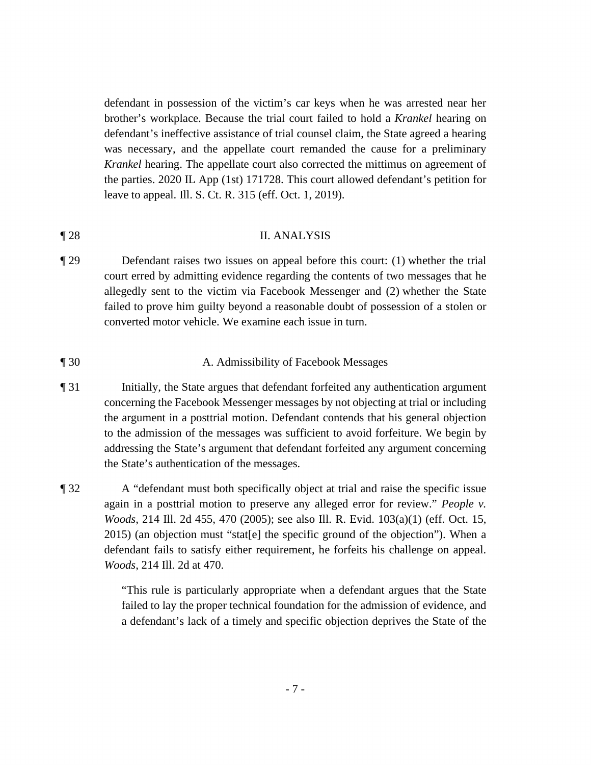defendant's ineffective assistance of trial counsel claim, the State agreed a hearing defendant in possession of the victim's car keys when he was arrested near her brother's workplace. Because the trial court failed to hold a *Krankel* hearing on was necessary, and the appellate court remanded the cause for a preliminary *Krankel* hearing. The appellate court also corrected the mittimus on agreement of the parties. 2020 IL App (1st) 171728. This court allowed defendant's petition for leave to appeal. Ill. S. Ct. R. 315 (eff. Oct. 1, 2019).

## ¶ 28 II. ANALYSIS

 failed to prove him guilty beyond a reasonable doubt of possession of a stolen or ¶ 29 Defendant raises two issues on appeal before this court: (1) whether the trial court erred by admitting evidence regarding the contents of two messages that he allegedly sent to the victim via Facebook Messenger and (2) whether the State converted motor vehicle. We examine each issue in turn.

### ¶ 30 A. Admissibility of Facebook Messages

- ¶ 31 Initially, the State argues that defendant forfeited any authentication argument concerning the Facebook Messenger messages by not objecting at trial or including the argument in a posttrial motion. Defendant contends that his general objection to the admission of the messages was sufficient to avoid forfeiture. We begin by addressing the State's argument that defendant forfeited any argument concerning the State's authentication of the messages.
- defendant fails to satisfy either requirement, he forfeits his challenge on appeal. ¶ 32 A "defendant must both specifically object at trial and raise the specific issue again in a posttrial motion to preserve any alleged error for review." *People v. Woods*, 214 Ill. 2d 455, 470 (2005); see also Ill. R. Evid. 103(a)(1) (eff. Oct. 15, 2015) (an objection must "stat[e] the specific ground of the objection"). When a *Woods*, 214 Ill. 2d at 470.

 a defendant's lack of a timely and specific objection deprives the State of the "This rule is particularly appropriate when a defendant argues that the State failed to lay the proper technical foundation for the admission of evidence, and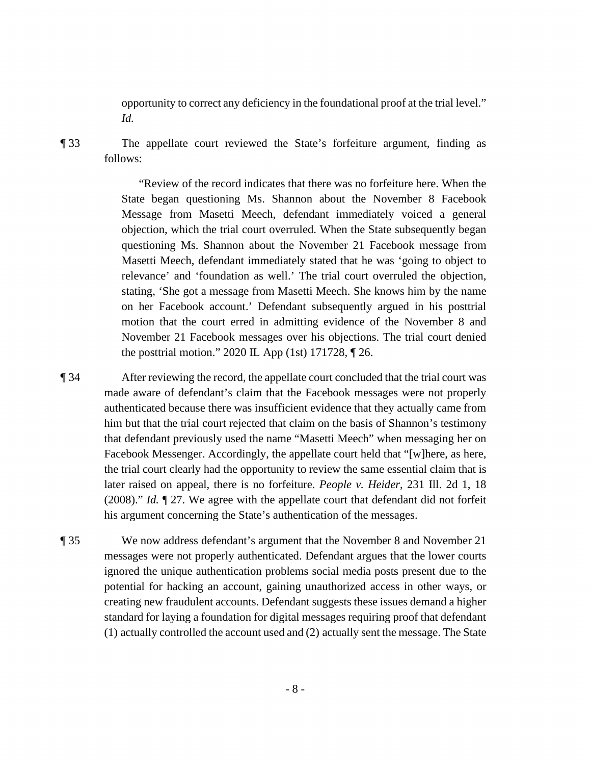opportunity to correct any deficiency in the foundational proof at the trial level." *Id.* 

¶ 33 The appellate court reviewed the State's forfeiture argument, finding as follows:

> "Review of the record indicates that there was no forfeiture here. When the State began questioning Ms. Shannon about the November 8 Facebook Message from Masetti Meech, defendant immediately voiced a general objection, which the trial court overruled. When the State subsequently began questioning Ms. Shannon about the November 21 Facebook message from Masetti Meech, defendant immediately stated that he was 'going to object to relevance' and 'foundation as well.' The trial court overruled the objection, stating, 'She got a message from Masetti Meech. She knows him by the name on her Facebook account.' Defendant subsequently argued in his posttrial motion that the court erred in admitting evidence of the November 8 and November 21 Facebook messages over his objections. The trial court denied the posttrial motion." 2020 IL App (1st) 171728, ¶ 26.

**The 34** After reviewing the record, the appellate court concluded that the trial court was that defendant previously used the name "Masetti Meech" when messaging her on (2008)." *Id.* ¶ 27. We agree with the appellate court that defendant did not forfeit made aware of defendant's claim that the Facebook messages were not properly authenticated because there was insufficient evidence that they actually came from him but that the trial court rejected that claim on the basis of Shannon's testimony Facebook Messenger. Accordingly, the appellate court held that "[w]here, as here, the trial court clearly had the opportunity to review the same essential claim that is later raised on appeal, there is no forfeiture. *People v. Heider*, 231 Ill. 2d 1, 18 his argument concerning the State's authentication of the messages.

 potential for hacking an account, gaining unauthorized access in other ways, or creating new fraudulent accounts. Defendant suggests these issues demand a higher ¶ 35 We now address defendant's argument that the November 8 and November 21 messages were not properly authenticated. Defendant argues that the lower courts ignored the unique authentication problems social media posts present due to the standard for laying a foundation for digital messages requiring proof that defendant (1) actually controlled the account used and (2) actually sent the message. The State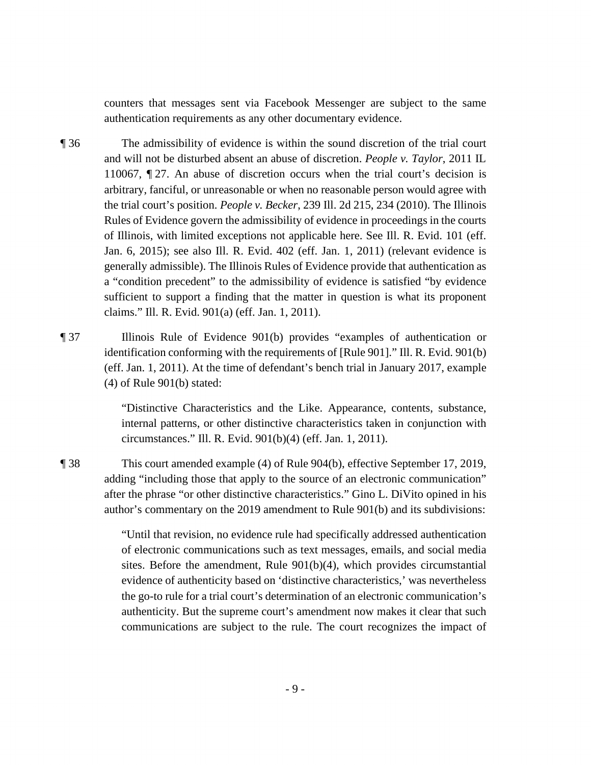counters that messages sent via Facebook Messenger are subject to the same authentication requirements as any other documentary evidence.

- ¶ 36 The admissibility of evidence is within the sound discretion of the trial court and will not be disturbed absent an abuse of discretion. *People v. Taylor*, 2011 IL 110067, ¶ 27. An abuse of discretion occurs when the trial court's decision is arbitrary, fanciful, or unreasonable or when no reasonable person would agree with the trial court's position. *People v. Becker*, 239 Ill. 2d 215, 234 (2010). The Illinois Rules of Evidence govern the admissibility of evidence in proceedings in the courts of Illinois, with limited exceptions not applicable here. See Ill. R. Evid. 101 (eff. Jan. 6, 2015); see also Ill. R. Evid. 402 (eff. Jan. 1, 2011) (relevant evidence is generally admissible). The Illinois Rules of Evidence provide that authentication as a "condition precedent" to the admissibility of evidence is satisfied "by evidence sufficient to support a finding that the matter in question is what its proponent claims." Ill. R. Evid. 901(a) (eff. Jan. 1, 2011).
- identification conforming with the requirements of [Rule 901]." Ill. R. Evid. 901(b) ¶ 37 Illinois Rule of Evidence 901(b) provides "examples of authentication or (eff. Jan. 1, 2011). At the time of defendant's bench trial in January 2017, example (4) of Rule 901(b) stated:

 internal patterns, or other distinctive characteristics taken in conjunction with "Distinctive Characteristics and the Like. Appearance, contents, substance, circumstances." Ill. R. Evid. 901(b)(4) (eff. Jan. 1, 2011).

¶ 38 This court amended example (4) of Rule 904(b), effective September 17, 2019, adding "including those that apply to the source of an electronic communication" after the phrase "or other distinctive characteristics." Gino L. DiVito opined in his author's commentary on the 2019 amendment to Rule 901(b) and its subdivisions:

> "Until that revision, no evidence rule had specifically addressed authentication of electronic communications such as text messages, emails, and social media sites. Before the amendment, Rule 901(b)(4), which provides circumstantial evidence of authenticity based on 'distinctive characteristics,' was nevertheless the go-to rule for a trial court's determination of an electronic communication's authenticity. But the supreme court's amendment now makes it clear that such communications are subject to the rule. The court recognizes the impact of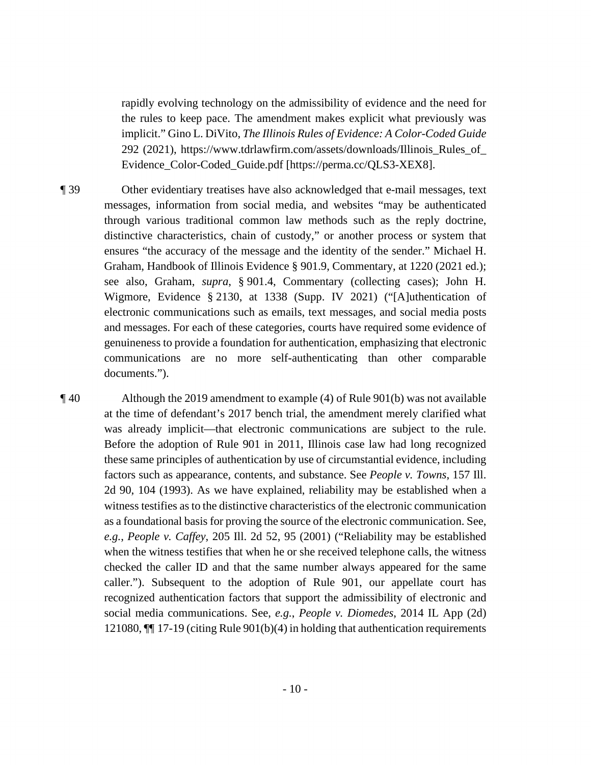rapidly evolving technology on the admissibility of evidence and the need for the rules to keep pace. The amendment makes explicit what previously was implicit." Gino L. DiVito, *The Illinois Rules of Evidence: A Color-Coded Guide*  292 (2021), [https://www.tdrlawfirm.com/assets/downloads/Illinois\\_Rules\\_of](https://www.tdrlawfirm.com/assets/downloads/Illinois_Rules_of)\_ Evidence\_Color-Coded\_Guide.pdf [\[https://perma.cc/QLS3-XEX8](https://perma.cc/QLS3-XEX8)].

 ¶ 39 Other evidentiary treatises have also acknowledged that e-mail messages, text Wigmore, Evidence § 2130, at 1338 (Supp. IV 2021) ("[A]uthentication of electronic communications such as emails, text messages, and social media posts genuineness to provide a foundation for authentication, emphasizing that electronic messages, information from social media, and websites "may be authenticated through various traditional common law methods such as the reply doctrine, distinctive characteristics, chain of custody," or another process or system that ensures "the accuracy of the message and the identity of the sender." Michael H. Graham, Handbook of Illinois Evidence § 901.9, Commentary, at 1220 (2021 ed.); see also, Graham, *supra*, § 901.4, Commentary (collecting cases); John H. and messages. For each of these categories, courts have required some evidence of communications are no more self-authenticating than other comparable documents.").

 these same principles of authentication by use of circumstantial evidence, including ¶ 40 Although the 2019 amendment to example (4) of Rule 901(b) was not available at the time of defendant's 2017 bench trial, the amendment merely clarified what was already implicit—that electronic communications are subject to the rule. Before the adoption of Rule 901 in 2011, Illinois case law had long recognized factors such as appearance, contents, and substance. See *People v. Towns*, 157 Ill. 2d 90, 104 (1993). As we have explained, reliability may be established when a witness testifies as to the distinctive characteristics of the electronic communication as a foundational basis for proving the source of the electronic communication. See, *e.g.*, *People v. Caffey*, 205 Ill. 2d 52, 95 (2001) ("Reliability may be established when the witness testifies that when he or she received telephone calls, the witness checked the caller ID and that the same number always appeared for the same caller."). Subsequent to the adoption of Rule 901, our appellate court has recognized authentication factors that support the admissibility of electronic and social media communications. See, *e.g.*, *People v. Diomedes*, 2014 IL App (2d) 121080, ¶¶ 17-19 (citing Rule 901(b)(4) in holding that authentication requirements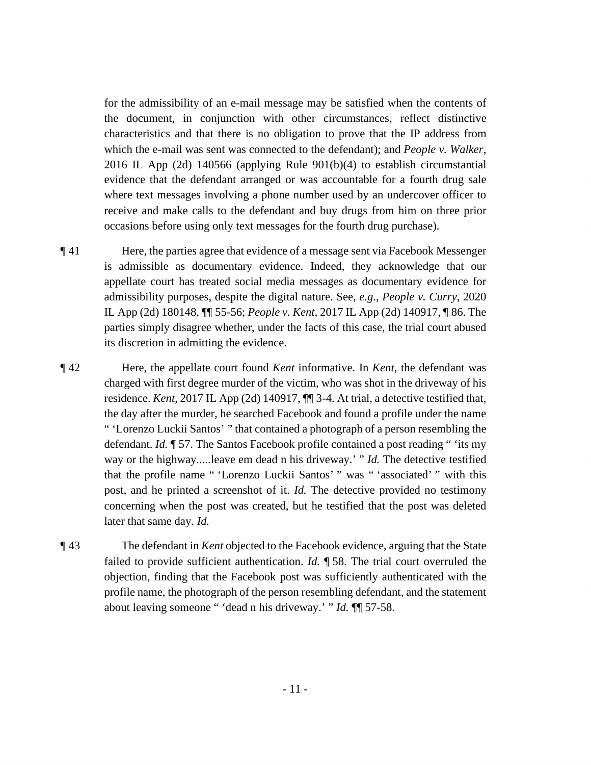for the admissibility of an e-mail message may be satisfied when the contents of the document, in conjunction with other circumstances, reflect distinctive characteristics and that there is no obligation to prove that the IP address from which the e-mail was sent was connected to the defendant); and *People v. Walker*, 2016 IL App (2d) 140566 (applying Rule 901(b)(4) to establish circumstantial evidence that the defendant arranged or was accountable for a fourth drug sale where text messages involving a phone number used by an undercover officer to receive and make calls to the defendant and buy drugs from him on three prior occasions before using only text messages for the fourth drug purchase).

- is admissible as documentary evidence. Indeed, they acknowledge that our IL App (2d) 180148, ¶¶ 55-56; *People v. Kent*, 2017 IL App (2d) 140917, ¶ 86. The ¶ 41 Here, the parties agree that evidence of a message sent via Facebook Messenger appellate court has treated social media messages as documentary evidence for admissibility purposes, despite the digital nature. See, *e.g.*, *People v. Curry*, 2020 parties simply disagree whether, under the facts of this case, the trial court abused its discretion in admitting the evidence.
- that the profile name " 'Lorenzo Luckii Santos' " was " 'associated' " with this ¶ 42 Here, the appellate court found *Kent* informative. In *Kent*, the defendant was charged with first degree murder of the victim, who was shot in the driveway of his residence. *Kent*, 2017 IL App (2d) 140917, ¶¶ 3-4. At trial, a detective testified that, the day after the murder, he searched Facebook and found a profile under the name " 'Lorenzo Luckii Santos' " that contained a photograph of a person resembling the defendant. *Id.* ¶ 57. The Santos Facebook profile contained a post reading " 'its my way or the highway.....leave em dead n his driveway.' " *Id.* The detective testified post, and he printed a screenshot of it. *Id.* The detective provided no testimony concerning when the post was created, but he testified that the post was deleted later that same day. *Id.*
- ¶ 43 The defendant in *Kent* objected to the Facebook evidence, arguing that the State failed to provide sufficient authentication. *Id.* ¶ 58. The trial court overruled the objection, finding that the Facebook post was sufficiently authenticated with the profile name, the photograph of the person resembling defendant, and the statement about leaving someone " 'dead n his driveway.' " *Id.* ¶¶ 57-58.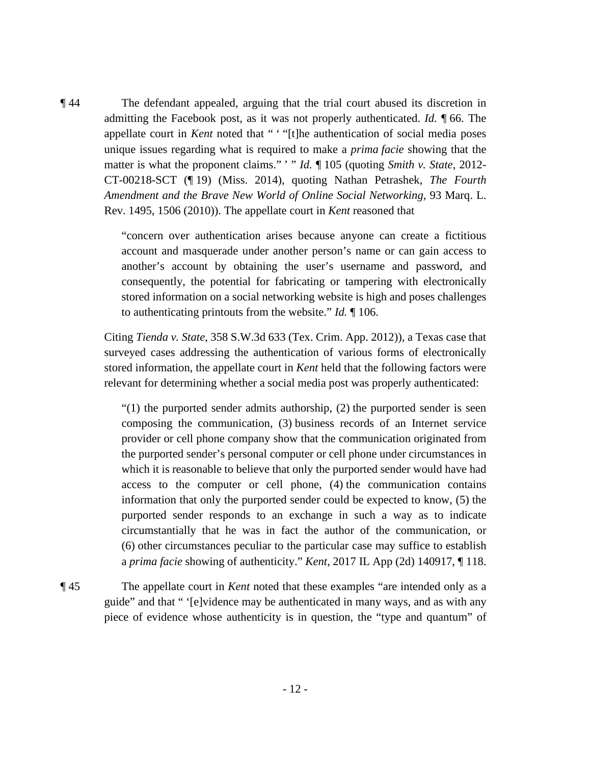matter is what the proponent claims." ' " *Id.* ¶ 105 (quoting *Smith v. State*, 2012- ¶ 44 The defendant appealed, arguing that the trial court abused its discretion in admitting the Facebook post, as it was not properly authenticated. *Id.* ¶ 66. The appellate court in *Kent* noted that " ' "[t]he authentication of social media poses unique issues regarding what is required to make a *prima facie* showing that the CT-00218-SCT (¶ 19) (Miss. 2014), quoting Nathan Petrashek, *The Fourth Amendment and the Brave New World of Online Social Networking*, 93 Marq. L. Rev. 1495, 1506 (2010)). The appellate court in *Kent* reasoned that

> to authenticating printouts from the website." *Id.* ¶ 106. "concern over authentication arises because anyone can create a fictitious account and masquerade under another person's name or can gain access to another's account by obtaining the user's username and password, and consequently, the potential for fabricating or tampering with electronically stored information on a social networking website is high and poses challenges

 Citing *Tienda v. State*, 358 S.W.3d 633 (Tex. Crim. App. 2012)), a Texas case that surveyed cases addressing the authentication of various forms of electronically stored information, the appellate court in *Kent* held that the following factors were relevant for determining whether a social media post was properly authenticated:

 a *prima facie* showing of authenticity." *Kent*, 2017 IL App (2d) 140917, ¶ 118.  $\degree$ (1) the purported sender admits authorship, (2) the purported sender is seen composing the communication, (3) business records of an Internet service provider or cell phone company show that the communication originated from the purported sender's personal computer or cell phone under circumstances in which it is reasonable to believe that only the purported sender would have had access to the computer or cell phone, (4) the communication contains information that only the purported sender could be expected to know, (5) the purported sender responds to an exchange in such a way as to indicate circumstantially that he was in fact the author of the communication, or (6) other circumstances peculiar to the particular case may suffice to establish

¶ 45 The appellate court in *Kent* noted that these examples "are intended only as a guide" and that " '[e]vidence may be authenticated in many ways, and as with any piece of evidence whose authenticity is in question, the "type and quantum" of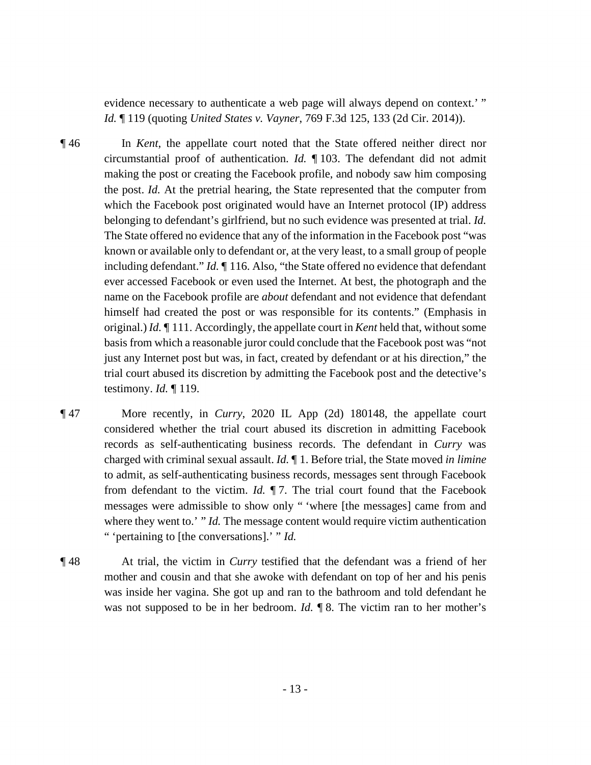evidence necessary to authenticate a web page will always depend on context.' " *Id.* ¶ 119 (quoting *United States v. Vayner*, 769 F.3d 125, 133 (2d Cir. 2014)).

 ¶ 46 In *Kent*, the appellate court noted that the State offered neither direct nor which the Facebook post originated would have an Internet protocol (IP) address circumstantial proof of authentication. *Id.* ¶ 103. The defendant did not admit making the post or creating the Facebook profile, and nobody saw him composing the post. *Id.* At the pretrial hearing, the State represented that the computer from belonging to defendant's girlfriend, but no such evidence was presented at trial. *Id.*  The State offered no evidence that any of the information in the Facebook post "was known or available only to defendant or, at the very least, to a small group of people including defendant." *Id.* ¶ 116. Also, "the State offered no evidence that defendant ever accessed Facebook or even used the Internet. At best, the photograph and the name on the Facebook profile are *about* defendant and not evidence that defendant himself had created the post or was responsible for its contents." (Emphasis in original.) *Id.* ¶ 111. Accordingly, the appellate court in *Kent* held that, without some basis from which a reasonable juror could conclude that the Facebook post was "not just any Internet post but was, in fact, created by defendant or at his direction," the trial court abused its discretion by admitting the Facebook post and the detective's testimony. *Id.* ¶ 119.

- ¶ 47 More recently, in *Curry*, 2020 IL App (2d) 180148, the appellate court charged with criminal sexual assault. *Id.* ¶ 1. Before trial, the State moved *in limine*  from defendant to the victim. *Id.* ¶ 7. The trial court found that the Facebook where they went to.' " *Id.* The message content would require victim authentication " 'pertaining to [the conversations].' " *Id.*  considered whether the trial court abused its discretion in admitting Facebook records as self-authenticating business records. The defendant in *Curry* was to admit, as self-authenticating business records, messages sent through Facebook messages were admissible to show only " 'where [the messages] came from and
- ¶ 48 At trial, the victim in *Curry* testified that the defendant was a friend of her mother and cousin and that she awoke with defendant on top of her and his penis was not supposed to be in her bedroom. *Id.* **1**8. The victim ran to her mother's was inside her vagina. She got up and ran to the bathroom and told defendant he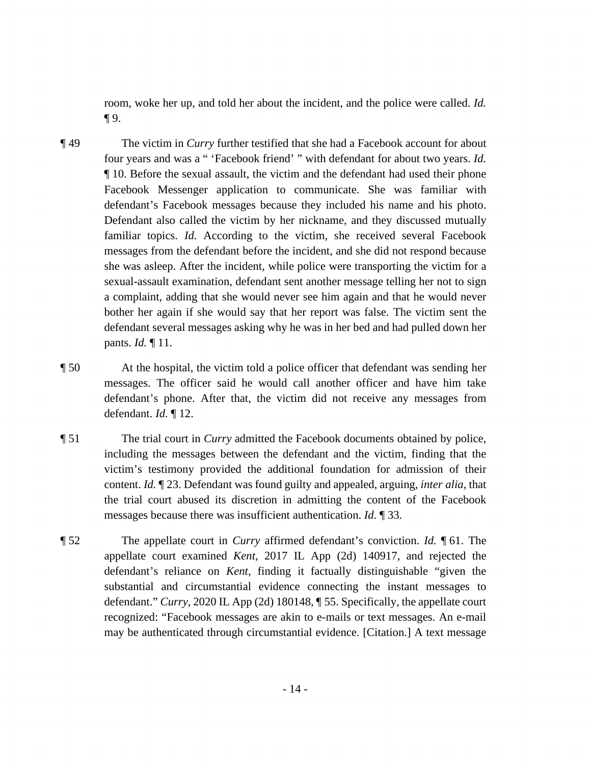room, woke her up, and told her about the incident, and the police were called. *Id.*  ¶ 9.

- four years and was a " 'Facebook friend' " with defendant for about two years. *Id.*  familiar topics. *Id.* According to the victim, she received several Facebook a complaint, adding that she would never see him again and that he would never bother her again if she would say that her report was false. The victim sent the ¶ 49 The victim in *Curry* further testified that she had a Facebook account for about ¶ 10. Before the sexual assault, the victim and the defendant had used their phone Facebook Messenger application to communicate. She was familiar with defendant's Facebook messages because they included his name and his photo. Defendant also called the victim by her nickname, and they discussed mutually messages from the defendant before the incident, and she did not respond because she was asleep. After the incident, while police were transporting the victim for a sexual-assault examination, defendant sent another message telling her not to sign defendant several messages asking why he was in her bed and had pulled down her pants. *Id.* ¶ 11.
- ¶ 50 At the hospital, the victim told a police officer that defendant was sending her messages. The officer said he would call another officer and have him take defendant's phone. After that, the victim did not receive any messages from defendant. *Id.* ¶ 12.
- messages because there was insufficient authentication. *Id.* ¶ 33. ¶ 51 The trial court in *Curry* admitted the Facebook documents obtained by police, including the messages between the defendant and the victim, finding that the victim's testimony provided the additional foundation for admission of their content. *Id.* ¶ 23. Defendant was found guilty and appealed, arguing, *inter alia*, that the trial court abused its discretion in admitting the content of the Facebook
- ¶ 52 The appellate court in *Curry* affirmed defendant's conviction. *Id.* ¶ 61. The appellate court examined *Kent*, 2017 IL App (2d) 140917, and rejected the defendant's reliance on *Kent*, finding it factually distinguishable "given the substantial and circumstantial evidence connecting the instant messages to defendant." *Curry*, 2020 IL App (2d) 180148, ¶ 55. Specifically, the appellate court recognized: "Facebook messages are akin to e-mails or text messages. An e-mail may be authenticated through circumstantial evidence. [Citation.] A text message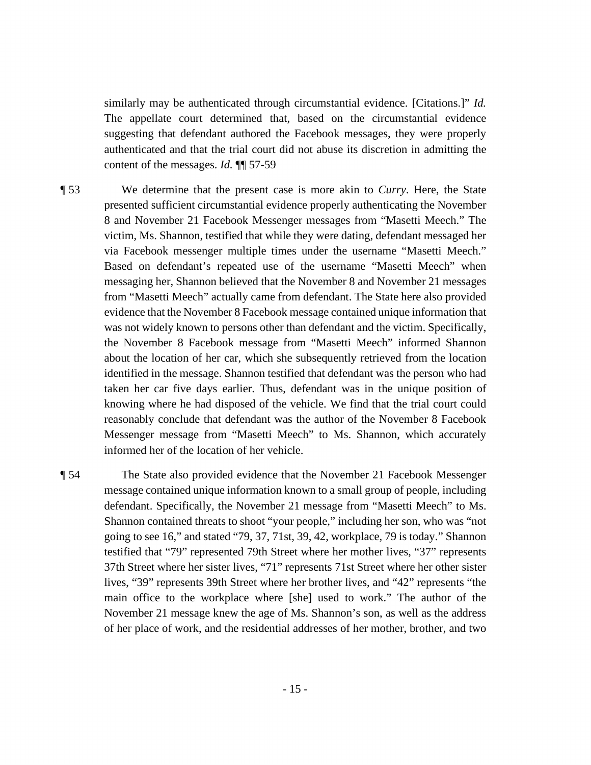suggesting that defendant authored the Facebook messages, they were properly similarly may be authenticated through circumstantial evidence. [Citations.]" *Id.*  The appellate court determined that, based on the circumstantial evidence authenticated and that the trial court did not abuse its discretion in admitting the content of the messages. *Id.* ¶¶ 57-59

 via Facebook messenger multiple times under the username "Masetti Meech." ¶ 53 We determine that the present case is more akin to *Curry*. Here, the State presented sufficient circumstantial evidence properly authenticating the November 8 and November 21 Facebook Messenger messages from "Masetti Meech." The victim, Ms. Shannon, testified that while they were dating, defendant messaged her Based on defendant's repeated use of the username "Masetti Meech" when messaging her, Shannon believed that the November 8 and November 21 messages from "Masetti Meech" actually came from defendant. The State here also provided evidence that the November 8 Facebook message contained unique information that was not widely known to persons other than defendant and the victim. Specifically, the November 8 Facebook message from "Masetti Meech" informed Shannon about the location of her car, which she subsequently retrieved from the location identified in the message. Shannon testified that defendant was the person who had taken her car five days earlier. Thus, defendant was in the unique position of knowing where he had disposed of the vehicle. We find that the trial court could reasonably conclude that defendant was the author of the November 8 Facebook Messenger message from "Masetti Meech" to Ms. Shannon, which accurately informed her of the location of her vehicle.

 November 21 message knew the age of Ms. Shannon's son, as well as the address ¶ 54 The State also provided evidence that the November 21 Facebook Messenger message contained unique information known to a small group of people, including defendant. Specifically, the November 21 message from "Masetti Meech" to Ms. Shannon contained threats to shoot "your people," including her son, who was "not going to see 16," and stated "79, 37, 71st, 39, 42, workplace, 79 is today." Shannon testified that "79" represented 79th Street where her mother lives, "37" represents 37th Street where her sister lives, "71" represents 71st Street where her other sister lives, "39" represents 39th Street where her brother lives, and "42" represents "the main office to the workplace where [she] used to work." The author of the of her place of work, and the residential addresses of her mother, brother, and two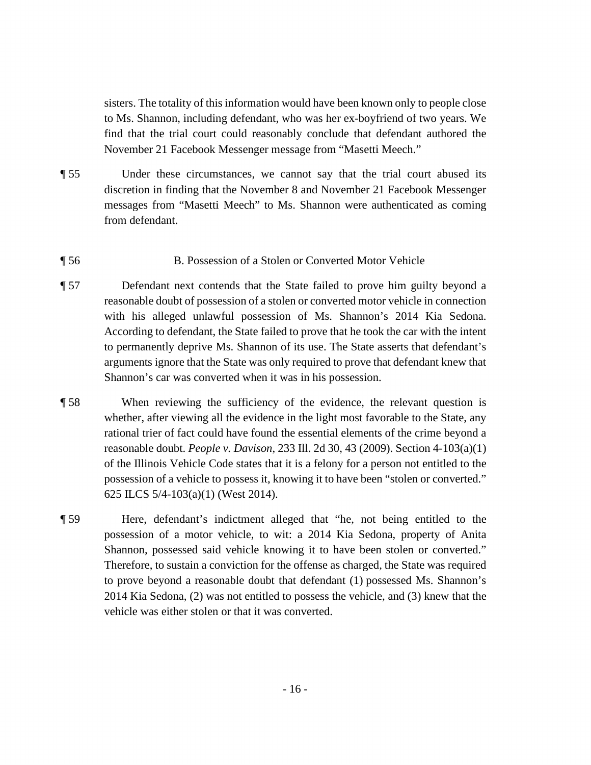November 21 Facebook Messenger message from "Masetti Meech." sisters. The totality of this information would have been known only to people close to Ms. Shannon, including defendant, who was her ex-boyfriend of two years. We find that the trial court could reasonably conclude that defendant authored the

- ¶ 55 Under these circumstances, we cannot say that the trial court abused its discretion in finding that the November 8 and November 21 Facebook Messenger messages from "Masetti Meech" to Ms. Shannon were authenticated as coming from defendant.
- ¶ 56 B. Possession of a Stolen or Converted Motor Vehicle
- ¶ 57 Defendant next contends that the State failed to prove him guilty beyond a reasonable doubt of possession of a stolen or converted motor vehicle in connection with his alleged unlawful possession of Ms. Shannon's 2014 Kia Sedona. According to defendant, the State failed to prove that he took the car with the intent to permanently deprive Ms. Shannon of its use. The State asserts that defendant's arguments ignore that the State was only required to prove that defendant knew that Shannon's car was converted when it was in his possession.
- ¶ 58 When reviewing the sufficiency of the evidence, the relevant question is whether, after viewing all the evidence in the light most favorable to the State, any rational trier of fact could have found the essential elements of the crime beyond a reasonable doubt. *People v. Davison*, 233 Ill. 2d 30, 43 (2009). Section 4-103(a)(1) of the Illinois Vehicle Code states that it is a felony for a person not entitled to the possession of a vehicle to possess it, knowing it to have been "stolen or converted." 625 ILCS 5/4-103(a)(1) (West 2014).
- 2014 Kia Sedona, (2) was not entitled to possess the vehicle, and (3) knew that the vehicle was either stolen or that it was converted. ¶ 59 Here, defendant's indictment alleged that "he, not being entitled to the possession of a motor vehicle, to wit: a 2014 Kia Sedona, property of Anita Shannon, possessed said vehicle knowing it to have been stolen or converted." Therefore, to sustain a conviction for the offense as charged, the State was required to prove beyond a reasonable doubt that defendant (1) possessed Ms. Shannon's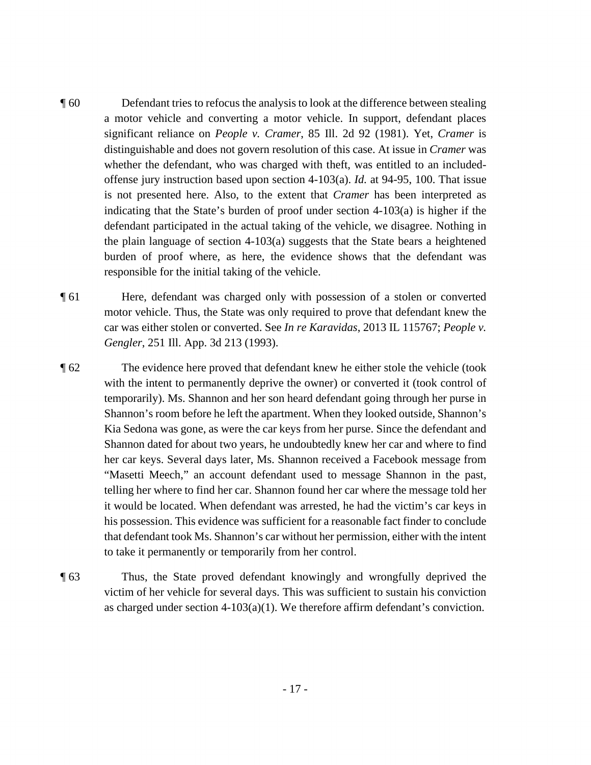- is not presented here. Also, to the extent that *Cramer* has been interpreted as burden of proof where, as here, the evidence shows that the defendant was ¶ 60 Defendant tries to refocus the analysis to look at the difference between stealing a motor vehicle and converting a motor vehicle. In support, defendant places significant reliance on *People v. Cramer*, 85 Ill. 2d 92 (1981). Yet, *Cramer* is distinguishable and does not govern resolution of this case. At issue in *Cramer* was whether the defendant, who was charged with theft, was entitled to an includedoffense jury instruction based upon section 4-103(a). *Id.* at 94-95, 100. That issue indicating that the State's burden of proof under section  $4-103(a)$  is higher if the defendant participated in the actual taking of the vehicle, we disagree. Nothing in the plain language of section 4-103(a) suggests that the State bears a heightened responsible for the initial taking of the vehicle.
- ¶ 61 Here, defendant was charged only with possession of a stolen or converted motor vehicle. Thus, the State was only required to prove that defendant knew the car was either stolen or converted. See *In re Karavidas*, 2013 IL 115767; *People v. Gengler*, 251 Ill. App. 3d 213 (1993).
- telling her where to find her car. Shannon found her car where the message told her ¶ 62 The evidence here proved that defendant knew he either stole the vehicle (took with the intent to permanently deprive the owner) or converted it (took control of temporarily). Ms. Shannon and her son heard defendant going through her purse in Shannon's room before he left the apartment. When they looked outside, Shannon's Kia Sedona was gone, as were the car keys from her purse. Since the defendant and Shannon dated for about two years, he undoubtedly knew her car and where to find her car keys. Several days later, Ms. Shannon received a Facebook message from "Masetti Meech," an account defendant used to message Shannon in the past, it would be located. When defendant was arrested, he had the victim's car keys in his possession. This evidence was sufficient for a reasonable fact finder to conclude that defendant took Ms. Shannon's car without her permission, either with the intent to take it permanently or temporarily from her control.
- victim of her vehicle for several days. This was sufficient to sustain his conviction ¶ 63 Thus, the State proved defendant knowingly and wrongfully deprived the as charged under section  $4-103(a)(1)$ . We therefore affirm defendant's conviction.